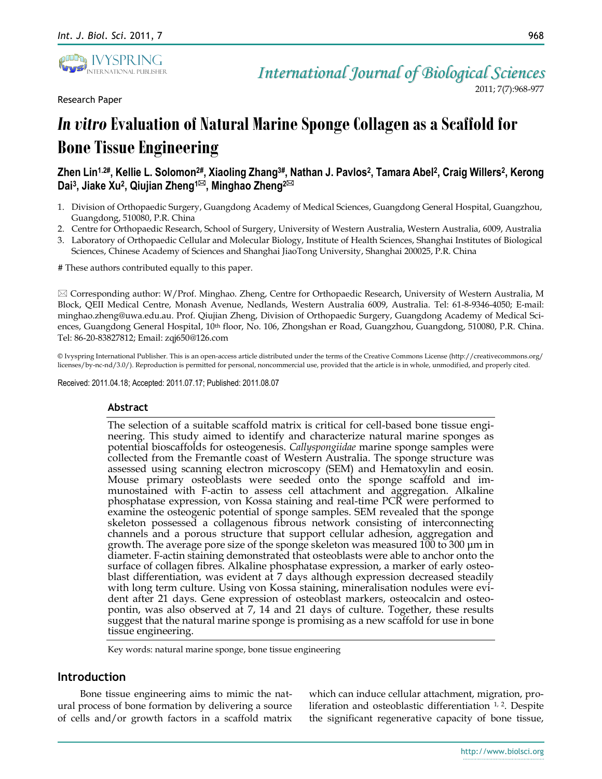

Research Paper

2011; 7(7):968-977

# *In vitro* **Evaluation of Natural Marine Sponge Collagen as a Scaffold for Bone Tissue Engineering**

## Zhen Lin<sup>1.2#</sup>, Kellie L. Solomon<sup>2#</sup>, Xiaoling Zhang<sup>3#</sup>, Nathan J. Pavlos<sup>2</sup>, Tamara Abel<sup>2</sup>, Craig Willers<sup>2</sup>, Kerong **Dai<sup>3</sup> , Jiake Xu<sup>2</sup> , Qiujian Zheng1, Minghao Zheng2**

- 1. Division of Orthopaedic Surgery, Guangdong Academy of Medical Sciences, Guangdong General Hospital, Guangzhou, Guangdong, 510080, P.R. China
- 2. Centre for Orthopaedic Research, School of Surgery, University of Western Australia, Western Australia, 6009, Australia
- 3. Laboratory of Orthopaedic Cellular and Molecular Biology, Institute of Health Sciences, Shanghai Institutes of Biological Sciences, Chinese Academy of Sciences and Shanghai JiaoTong University, Shanghai 200025, P.R. China

# These authors contributed equally to this paper.

 Corresponding author: W/Prof. Minghao. Zheng, Centre for Orthopaedic Research, University of Western Australia, M Block, QEII Medical Centre, Monash Avenue, Nedlands, Western Australia 6009, Australia. Tel: 61-8-9346-4050; E-mail: minghao.zheng@uwa.edu.au. Prof. Qiujian Zheng, Division of Orthopaedic Surgery, Guangdong Academy of Medical Sciences, Guangdong General Hospital, 10<sup>th</sup> floor, No. 106, Zhongshan er Road, Guangzhou, Guangdong, 510080, P.R. China. Tel: 86-20-83827812; Email: zqj650@126.com

© Ivyspring International Publisher. This is an open-access article distributed under the terms of the Creative Commons License (http://creativecommons.org/ licenses/by-nc-nd/3.0/). Reproduction is permitted for personal, noncommercial use, provided that the article is in whole, unmodified, and properly cited.

Received: 2011.04.18; Accepted: 2011.07.17; Published: 2011.08.07

### **Abstract**

The selection of a suitable scaffold matrix is critical for cell-based bone tissue engineering. This study aimed to identify and characterize natural marine sponges as potential bioscaffolds for osteogenesis. *Callyspongiidae* marine sponge samples were collected from the Fremantle coast of Western Australia. The sponge structure was assessed using scanning electron microscopy (SEM) and Hematoxylin and eosin. Mouse primary osteoblasts were seeded onto the sponge scaffold and immunostained with F-actin to assess cell attachment and aggregation. Alkaline phosphatase expression, von Kossa staining and real-time PCR were performed to examine the osteogenic potential of sponge samples. SEM revealed that the sponge skeleton possessed a collagenous fibrous network consisting of interconnecting channels and a porous structure that support cellular adhesion, aggregation and growth. The average pore size of the sponge skeleton was measured 100 to 300 μm in diameter. F-actin staining demonstrated that osteoblasts were able to anchor onto the surface of collagen fibres. Alkaline phosphatase expression, a marker of early osteoblast differentiation, was evident at 7 days although expression decreased steadily with long term culture. Using von Kossa staining, mineralisation nodules were evident after 21 days. Gene expression of osteoblast markers, osteocalcin and osteopontin, was also observed at 7, 14 and 21 days of culture. Together, these results suggest that the natural marine sponge is promising as a new scaffold for use in bone tissue engineering.

Key words: natural marine sponge, bone tissue engineering

## **Introduction**

Bone tissue engineering aims to mimic the natural process of bone formation by delivering a source of cells and/or growth factors in a scaffold matrix which can induce cellular attachment, migration, proliferation and osteoblastic differentiation  $1/2$ . Despite the significant regenerative capacity of bone tissue,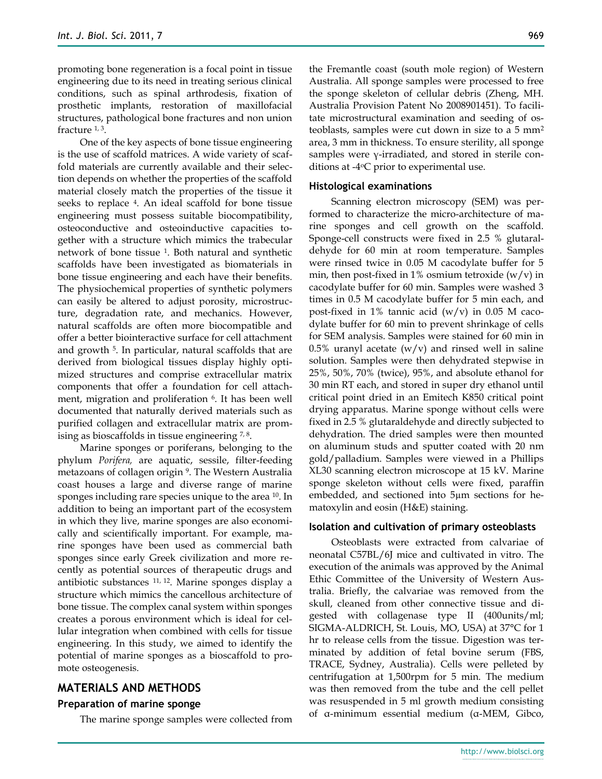promoting bone regeneration is a focal point in tissue engineering due to its need in treating serious clinical conditions, such as spinal arthrodesis, fixation of prosthetic implants, restoration of maxillofacial structures, pathological bone fractures and non union fracture 1, 3 .

One of the key aspects of bone tissue engineering is the use of scaffold matrices. A wide variety of scaffold materials are currently available and their selection depends on whether the properties of the scaffold material closely match the properties of the tissue it seeks to replace <sup>4</sup> . An ideal scaffold for bone tissue engineering must possess suitable biocompatibility, osteoconductive and osteoinductive capacities together with a structure which mimics the trabecular network of bone tissue <sup>1</sup> . Both natural and synthetic scaffolds have been investigated as biomaterials in bone tissue engineering and each have their benefits. The physiochemical properties of synthetic polymers can easily be altered to adjust porosity, microstructure, degradation rate, and mechanics. However, natural scaffolds are often more biocompatible and offer a better biointeractive surface for cell attachment and growth <sup>5</sup> . In particular, natural scaffolds that are derived from biological tissues display highly optimized structures and comprise extracellular matrix components that offer a foundation for cell attachment, migration and proliferation <sup>6</sup> . It has been well documented that naturally derived materials such as purified collagen and extracellular matrix are promising as bioscaffolds in tissue engineering  $7,8$ .

Marine sponges or poriferans, belonging to the phylum *Porifera,* are aquatic, sessile, filter-feeding metazoans of collagen origin <sup>9</sup> . The Western Australia coast houses a large and diverse range of marine sponges including rare species unique to the area <sup>10</sup>. In addition to being an important part of the ecosystem in which they live, marine sponges are also economically and scientifically important. For example, marine sponges have been used as commercial bath sponges since early Greek civilization and more recently as potential sources of therapeutic drugs and antibiotic substances 11, 12. Marine sponges display a structure which mimics the cancellous architecture of bone tissue. The complex canal system within sponges creates a porous environment which is ideal for cellular integration when combined with cells for tissue engineering. In this study, we aimed to identify the potential of marine sponges as a bioscaffold to promote osteogenesis.

## **MATERIALS AND METHODS**

#### **Preparation of marine sponge**

The marine sponge samples were collected from

the Fremantle coast (south mole region) of Western Australia. All sponge samples were processed to free the sponge skeleton of cellular debris (Zheng, MH. Australia Provision Patent No 2008901451). To facilitate microstructural examination and seeding of osteoblasts, samples were cut down in size to a 5 mm<sup>2</sup> area, 3 mm in thickness. To ensure sterility, all sponge samples were γ-irradiated, and stored in sterile conditions at  $-4$ <sup>o</sup>C prior to experimental use.

#### **Histological examinations**

Scanning electron microscopy (SEM) was performed to characterize the micro-architecture of marine sponges and cell growth on the scaffold. Sponge-cell constructs were fixed in 2.5 % glutaraldehyde for 60 min at room temperature. Samples were rinsed twice in 0.05 M cacodylate buffer for 5 min, then post-fixed in 1% osmium tetroxide  $(w/v)$  in cacodylate buffer for 60 min. Samples were washed 3 times in 0.5 M cacodylate buffer for 5 min each, and post-fixed in 1% tannic acid  $(w/v)$  in 0.05 M cacodylate buffer for 60 min to prevent shrinkage of cells for SEM analysis. Samples were stained for 60 min in 0.5% uranyl acetate  $(w/v)$  and rinsed well in saline solution. Samples were then dehydrated stepwise in 25%, 50%, 70% (twice), 95%, and absolute ethanol for 30 min RT each, and stored in super dry ethanol until critical point dried in an Emitech K850 critical point drying apparatus. Marine sponge without cells were fixed in 2.5 % glutaraldehyde and directly subjected to dehydration. The dried samples were then mounted on aluminum studs and sputter coated with 20 nm gold/palladium. Samples were viewed in a Phillips XL30 scanning electron microscope at 15 kV. Marine sponge skeleton without cells were fixed, paraffin embedded, and sectioned into 5µm sections for hematoxylin and eosin (H&E) staining.

#### **Isolation and cultivation of primary osteoblasts**

Osteoblasts were extracted from calvariae of neonatal C57BL/6J mice and cultivated in vitro. The execution of the animals was approved by the Animal Ethic Committee of the University of Western Australia. Briefly, the calvariae was removed from the skull, cleaned from other connective tissue and digested with collagenase type II (400units/ml; SIGMA-ALDRICH, St. Louis, MO, USA) at 37°C for 1 hr to release cells from the tissue. Digestion was terminated by addition of fetal bovine serum (FBS, TRACE, Sydney, Australia). Cells were pelleted by centrifugation at 1,500rpm for 5 min. The medium was then removed from the tube and the cell pellet was resuspended in 5 ml growth medium consisting of α-minimum essential medium (α-MEM, Gibco,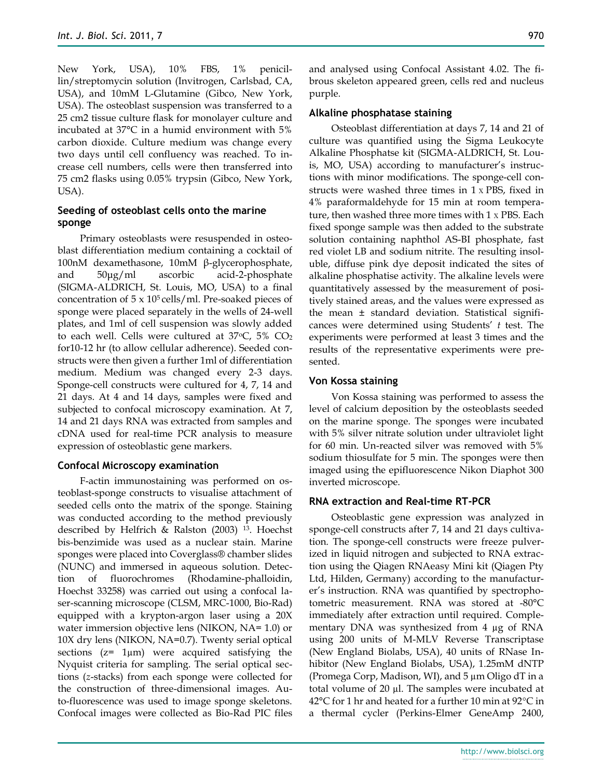New York, USA), 10% FBS, 1% penicillin/streptomycin solution (Invitrogen, Carlsbad, CA, USA), and 10mM L-Glutamine (Gibco, New York, USA). The osteoblast suspension was transferred to a 25 cm2 tissue culture flask for monolayer culture and incubated at 37°C in a humid environment with 5% carbon dioxide. Culture medium was change every two days until cell confluency was reached. To increase cell numbers, cells were then transferred into 75 cm2 flasks using 0.05% trypsin (Gibco, New York, USA).

## **Seeding of osteoblast cells onto the marine sponge**

Primary osteoblasts were resuspended in osteoblast differentiation medium containing a cocktail of 100nM dexamethasone, 10mM β-glycerophosphate, and 50μg/ml ascorbic acid-2-phosphate (SIGMA-ALDRICH, St. Louis, MO, USA) to a final concentration of  $5 \times 10^5$  cells/ml. Pre-soaked pieces of sponge were placed separately in the wells of 24-well plates, and 1ml of cell suspension was slowly added to each well. Cells were cultured at  $37^{\circ}$ C,  $5\%$  CO<sub>2</sub> for10-12 hr (to allow cellular adherence). Seeded constructs were then given a further 1ml of differentiation medium. Medium was changed every 2-3 days. Sponge-cell constructs were cultured for 4, 7, 14 and 21 days. At 4 and 14 days, samples were fixed and subjected to confocal microscopy examination. At 7, 14 and 21 days RNA was extracted from samples and cDNA used for real-time PCR analysis to measure expression of osteoblastic gene markers.

### **Confocal Microscopy examination**

F-actin immunostaining was performed on osteoblast-sponge constructs to visualise attachment of seeded cells onto the matrix of the sponge. Staining was conducted according to the method previously described by Helfrich & Ralston (2003) <sup>13</sup>. Hoechst bis-benzimide was used as a nuclear stain. Marine sponges were placed into Coverglass® chamber slides (NUNC) and immersed in aqueous solution. Detection of fluorochromes (Rhodamine-phalloidin, Hoechst 33258) was carried out using a confocal laser-scanning microscope (CLSM, MRC-1000, Bio-Rad) equipped with a krypton-argon laser using a 20X water immersion objective lens (NIKON, NA= 1.0) or 10X dry lens (NIKON, NA=0.7). Twenty serial optical sections  $(z=1\mu m)$  were acquired satisfying the Nyquist criteria for sampling. The serial optical sections (*z*-stacks) from each sponge were collected for the construction of three-dimensional images. Auto-fluorescence was used to image sponge skeletons. Confocal images were collected as Bio-Rad PIC files

and analysed using Confocal Assistant 4.02. The fibrous skeleton appeared green, cells red and nucleus purple.

#### **Alkaline phosphatase staining**

Osteoblast differentiation at days 7, 14 and 21 of culture was quantified using the Sigma Leukocyte Alkaline Phosphatse kit (SIGMA-ALDRICH, St. Louis, MO, USA) according to manufacturer's instructions with minor modifications. The sponge-cell constructs were washed three times in 1хPBS, fixed in 4% paraformaldehyde for 15 min at room temperature, then washed three more times with 1хPBS. Each fixed sponge sample was then added to the substrate solution containing naphthol AS-BI phosphate, fast red violet LB and sodium nitrite. The resulting insoluble, diffuse pink dye deposit indicated the sites of alkaline phosphatise activity. The alkaline levels were quantitatively assessed by the measurement of positively stained areas, and the values were expressed as the mean ± standard deviation. Statistical significances were determined using Students' *t* test. The experiments were performed at least 3 times and the results of the representative experiments were presented.

#### **Von Kossa staining**

Von Kossa staining was performed to assess the level of calcium deposition by the osteoblasts seeded on the marine sponge. The sponges were incubated with 5% silver nitrate solution under ultraviolet light for 60 min. Un-reacted silver was removed with 5% sodium thiosulfate for 5 min. The sponges were then imaged using the epifluorescence Nikon Diaphot 300 inverted microscope.

## **RNA extraction and Real-time RT-PCR**

Osteoblastic gene expression was analyzed in sponge-cell constructs after 7, 14 and 21 days cultivation. The sponge-cell constructs were freeze pulverized in liquid nitrogen and subjected to RNA extraction using the Qiagen RNAeasy Mini kit (Qiagen Pty Ltd, Hilden, Germany) according to the manufacturer's instruction. RNA was quantified by spectrophotometric measurement. RNA was stored at -80°C immediately after extraction until required. Complementary DNA was synthesized from 4 µg of RNA using 200 units of M-MLV Reverse Transcriptase (New England Biolabs, USA), 40 units of RNase Inhibitor (New England Biolabs, USA), 1.25mM dNTP (Promega Corp, Madison, WI), and 5 µm Oligo dT in a total volume of 20 µl. The samples were incubated at 42°C for 1 hr and heated for a further 10 min at 92°C in a thermal cycler (Perkins-Elmer GeneAmp 2400,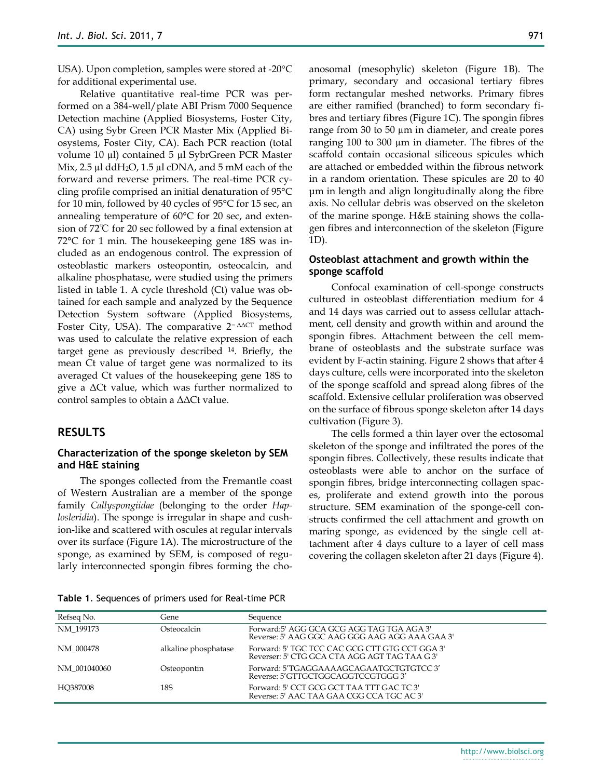USA). Upon completion, samples were stored at -20°C for additional experimental use.

Relative quantitative real-time PCR was performed on a 384-well/plate ABI Prism 7000 Sequence Detection machine (Applied Biosystems, Foster City, CA) using Sybr Green PCR Master Mix (Applied Biosystems, Foster City, CA). Each PCR reaction (total volume 10 µl) contained 5 µl SybrGreen PCR Master Mix,  $2.5 \mu$ l ddH<sub>2</sub>O,  $1.5 \mu$ l cDNA, and  $5 \mu$ M each of the forward and reverse primers. The real-time PCR cycling profile comprised an initial denaturation of 95°C for 10 min, followed by 40 cycles of 95°C for 15 sec, an annealing temperature of 60°C for 20 sec, and extension of 72℃ for 20 sec followed by a final extension at 72°C for 1 min. The housekeeping gene 18S was included as an endogenous control. The expression of osteoblastic markers osteopontin, osteocalcin, and alkaline phosphatase, were studied using the primers listed in table 1. A cycle threshold (Ct) value was obtained for each sample and analyzed by the Sequence Detection System software (Applied Biosystems, Foster City, USA). The comparative 2<sup>−</sup> ΔΔCT method was used to calculate the relative expression of each target gene as previously described <sup>14</sup>. Briefly, the mean Ct value of target gene was normalized to its averaged Ct values of the housekeeping gene 18S to give a ΔCt value, which was further normalized to control samples to obtain a ΔΔCt value.

### **RESULTS**

#### **Characterization of the sponge skeleton by SEM and H&E staining**

The sponges collected from the Fremantle coast of Western Australian are a member of the sponge family *Callyspongiidae* (belonging to the order *Haplosleridia*). The sponge is irregular in shape and cushion-like and scattered with oscules at regular intervals over its surface (Figure 1A). The microstructure of the sponge, as examined by SEM, is composed of regularly interconnected spongin fibres forming the choanosomal (mesophylic) skeleton (Figure 1B). The primary, secondary and occasional tertiary fibres form rectangular meshed networks. Primary fibres are either ramified (branched) to form secondary fibres and tertiary fibres (Figure 1C). The spongin fibres range from 30 to 50 µm in diameter, and create pores ranging 100 to 300 µm in diameter. The fibres of the scaffold contain occasional siliceous spicules which are attached or embedded within the fibrous network in a random orientation. These spicules are 20 to 40 μm in length and align longitudinally along the fibre axis. No cellular debris was observed on the skeleton of the marine sponge. H&E staining shows the collagen fibres and interconnection of the skeleton (Figure 1D).

#### **Osteoblast attachment and growth within the sponge scaffold**

Confocal examination of cell-sponge constructs cultured in osteoblast differentiation medium for 4 and 14 days was carried out to assess cellular attachment, cell density and growth within and around the spongin fibres. Attachment between the cell membrane of osteoblasts and the substrate surface was evident by F-actin staining. Figure 2 shows that after 4 days culture, cells were incorporated into the skeleton of the sponge scaffold and spread along fibres of the scaffold. Extensive cellular proliferation was observed on the surface of fibrous sponge skeleton after 14 days cultivation (Figure 3).

The cells formed a thin layer over the ectosomal skeleton of the sponge and infiltrated the pores of the spongin fibres. Collectively, these results indicate that osteoblasts were able to anchor on the surface of spongin fibres, bridge interconnecting collagen spaces, proliferate and extend growth into the porous structure. SEM examination of the sponge-cell constructs confirmed the cell attachment and growth on maring sponge, as evidenced by the single cell attachment after 4 days culture to a layer of cell mass covering the collagen skeleton after 21 days (Figure 4).

| Refseq No.   | Gene                 | Sequence                                                                                        |
|--------------|----------------------|-------------------------------------------------------------------------------------------------|
| NM 199173    | Osteocalcin          | Forward:5' AGG GCA GCG AGG TAG TGA AGA 3'<br>Reverse: 5' AAG GGC AAG GGG AAG AGG AAA GAA 3'     |
| NM 000478    | alkaline phosphatase | Forward: 5' TGC TCC CAC GCG CTT GTG CCT GGA 3'<br>Reverser: 5' CTG GCA CTA AGG AGT TAG TAA G 3' |
| NM 001040060 | Osteopontin          | Forward: 5'TGAGGAAAAGCAGAATGCTGTGTCC3'<br>Reverse: 5'GTTGCTGGCAGGTCCGTGGG3'                     |
| HO387008     | 18S                  | Forward: 5' CCT GCG GCT TAA TTT GAC TC 3'<br>Reverse: 5' AAC TAA GAA CGG CCA TGC AC 3'          |

**Table 1**. Sequences of primers used for Real-time PCR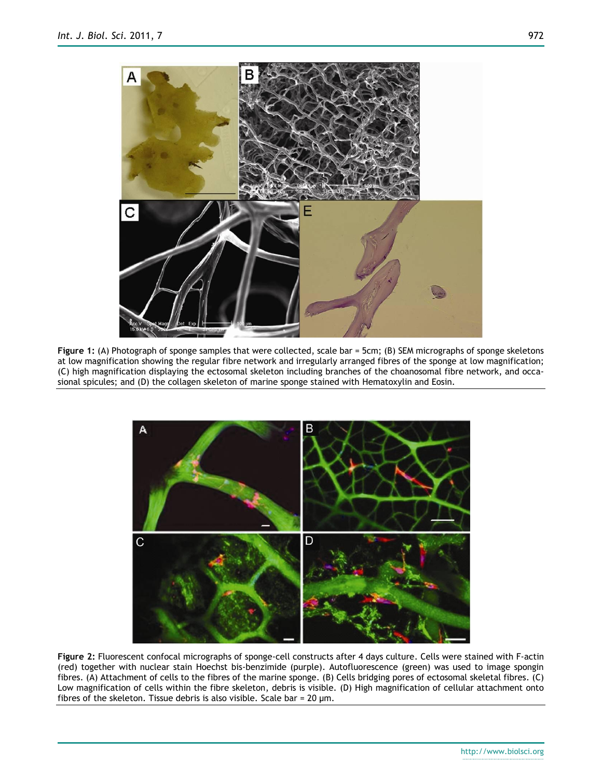

**Figure 1:** (A) Photograph of sponge samples that were collected, scale bar = 5cm; (B) SEM micrographs of sponge skeletons at low magnification showing the regular fibre network and irregularly arranged fibres of the sponge at low magnification; (C) high magnification displaying the ectosomal skeleton including branches of the choanosomal fibre network, and occasional spicules; and (D) the collagen skeleton of marine sponge stained with [Hematoxylin and Eosin.](http://www.google.com.au/search?hl=en&biw=1283&bih=612&sa=X&ei=0vv5TeefFIu8vQObvdmCAw&ved=0CB4QvwUoAQ&q=Hematoxylin+and+Eosin&spell=1)



**Figure 2:** Fluorescent confocal micrographs of sponge-cell constructs after 4 days culture. Cells were stained with F-actin (red) together with nuclear stain Hoechst bis-benzimide (purple). Autofluorescence (green) was used to image spongin fibres. (A) Attachment of cells to the fibres of the marine sponge. (B) Cells bridging pores of ectosomal skeletal fibres. (C) Low magnification of cells within the fibre skeleton, debris is visible. (D) High magnification of cellular attachment onto fibres of the skeleton. Tissue debris is also visible. Scale bar = 20 µm.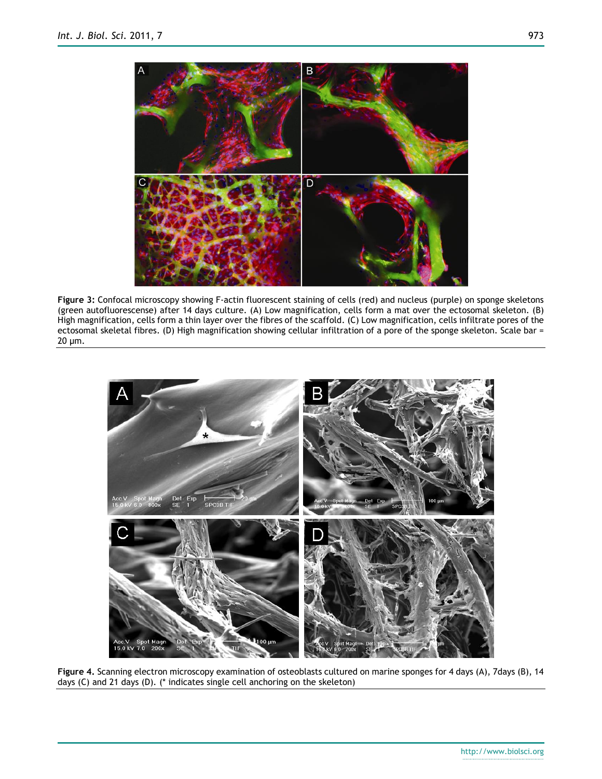

**Figure 3:** Confocal microscopy showing F-actin fluorescent staining of cells (red) and nucleus (purple) on sponge skeletons (green autofluorescense) after 14 days culture. (A) Low magnification, cells form a mat over the ectosomal skeleton. (B) High magnification, cells form a thin layer over the fibres of the scaffold. (C) Low magnification, cells infiltrate pores of the ectosomal skeletal fibres. (D) High magnification showing cellular infiltration of a pore of the sponge skeleton. Scale bar = 20 µm.



**Figure 4.** Scanning electron microscopy examination of osteoblasts cultured on marine sponges for 4 days (A), 7days (B), 14 days (C) and 21 days (D). (\* indicates single cell anchoring on the skeleton)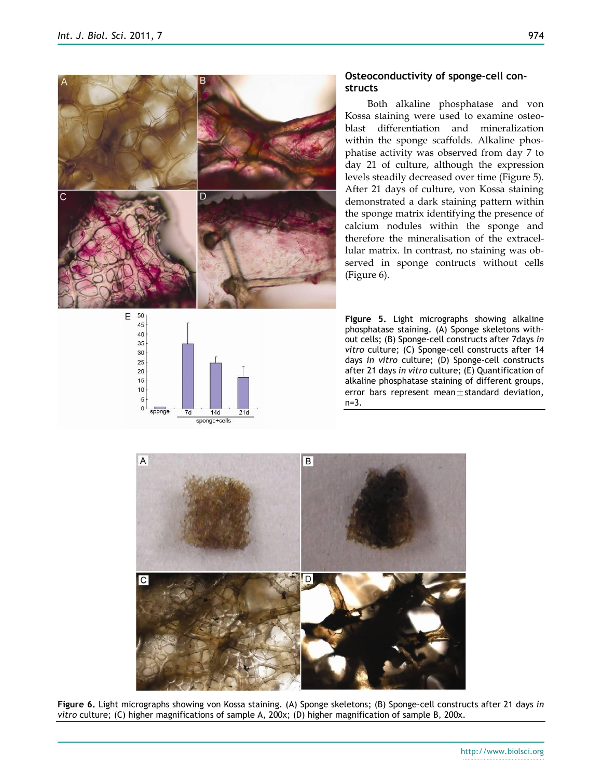



## **Osteoconductivity of sponge-cell constructs**

Both alkaline phosphatase and von Kossa staining were used to examine osteoblast differentiation and mineralization within the sponge scaffolds. Alkaline phosphatise activity was observed from day 7 to day 21 of culture, although the expression levels steadily decreased over time (Figure 5). After 21 days of culture, von Kossa staining demonstrated a dark staining pattern within the sponge matrix identifying the presence of calcium nodules within the sponge and therefore the mineralisation of the extracellular matrix. In contrast, no staining was observed in sponge contructs without cells (Figure 6).

**Figure 5.** Light micrographs showing alkaline phosphatase staining. (A) Sponge skeletons without cells; (B) Sponge-cell constructs after 7days *in vitro* culture; (C) Sponge-cell constructs after 14 days *in vitro* culture; (D) Sponge-cell constructs after 21 days *in vitro* culture; (E) Quantification of alkaline phosphatase staining of different groups, error bars represent mean $\pm$ standard deviation, n=3.



**Figure 6.** Light micrographs showing von Kossa staining. (A) Sponge skeletons; (B) Sponge-cell constructs after 21 days *in vitro* culture; (C) higher magnifications of sample A, 200x; (D) higher magnification of sample B, 200x.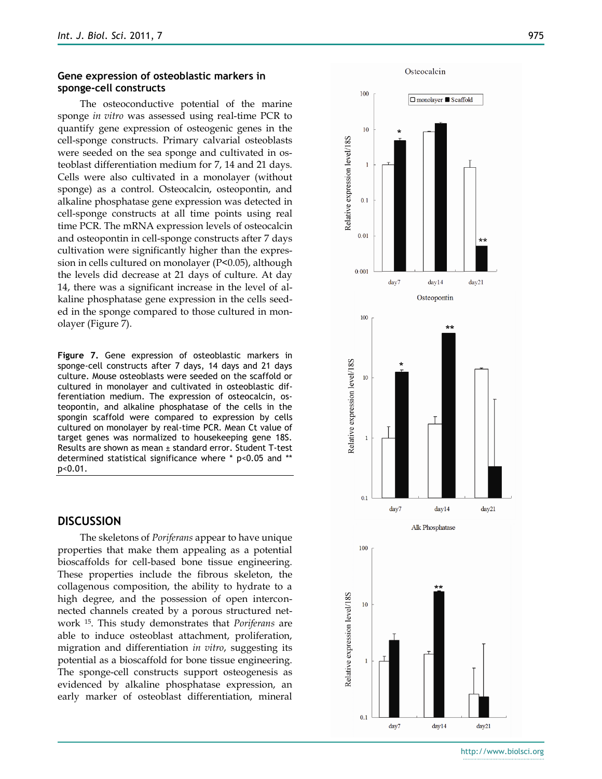### **Gene expression of osteoblastic markers in sponge-cell constructs**

The osteoconductive potential of the marine sponge *in vitro* was assessed using real-time PCR to quantify gene expression of osteogenic genes in the cell-sponge constructs. Primary calvarial osteoblasts were seeded on the sea sponge and cultivated in osteoblast differentiation medium for 7, 14 and 21 days. Cells were also cultivated in a monolayer (without sponge) as a control. Osteocalcin, osteopontin, and alkaline phosphatase gene expression was detected in cell-sponge constructs at all time points using real time PCR. The mRNA expression levels of osteocalcin and osteopontin in cell-sponge constructs after 7 days cultivation were significantly higher than the expression in cells cultured on monolayer (P<0.05), although the levels did decrease at 21 days of culture. At day 14, there was a significant increase in the level of alkaline phosphatase gene expression in the cells seeded in the sponge compared to those cultured in monolayer (Figure 7).

**Figure 7.** Gene expression of osteoblastic markers in sponge-cell constructs after 7 days, 14 days and 21 days culture. Mouse osteoblasts were seeded on the scaffold or cultured in monolayer and cultivated in osteoblastic differentiation medium. The expression of osteocalcin, osteopontin, and alkaline phosphatase of the cells in the spongin scaffold were compared to expression by cells cultured on monolayer by real-time PCR. Mean Ct value of target genes was normalized to housekeeping gene 18S. Results are shown as mean ± standard error. Student T-test determined statistical significance where \* p<0.05 and \*\* p<0.01.

## **DISCUSSION**

The skeletons of *Poriferans* appear to have unique properties that make them appealing as a potential bioscaffolds for cell-based bone tissue engineering. These properties include the fibrous skeleton, the collagenous composition, the ability to hydrate to a high degree, and the possession of open interconnected channels created by a porous structured network <sup>15</sup> . This study demonstrates that *Poriferans* are able to induce osteoblast attachment, proliferation, migration and differentiation *in vitro*, suggesting its potential as a bioscaffold for bone tissue engineering. The sponge-cell constructs support osteogenesis as evidenced by alkaline phosphatase expression, an early marker of osteoblast differentiation, mineral



http://www.biolsci.org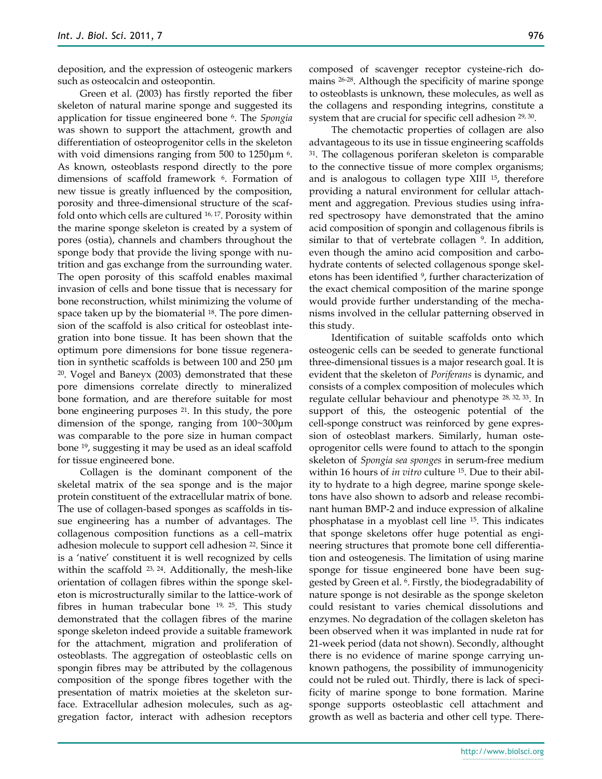deposition, and the expression of osteogenic markers such as osteocalcin and osteopontin.

Green et al. (2003) has firstly reported the fiber skeleton of natural marine sponge and suggested its application for tissue engineered bone <sup>6</sup> . The *Spongia* was shown to support the attachment, growth and differentiation of osteoprogenitor cells in the skeleton with void dimensions ranging from 500 to 1250μm <sup>6</sup>. As known, osteoblasts respond directly to the pore dimensions of scaffold framework <sup>6</sup> . Formation of new tissue is greatly influenced by the composition, porosity and three-dimensional structure of the scaffold onto which cells are cultured 16, 17 . Porosity within the marine sponge skeleton is created by a system of pores (ostia), channels and chambers throughout the sponge body that provide the living sponge with nutrition and gas exchange from the surrounding water. The open porosity of this scaffold enables maximal invasion of cells and bone tissue that is necessary for bone reconstruction, whilst minimizing the volume of space taken up by the biomaterial <sup>18</sup>. The pore dimension of the scaffold is also critical for osteoblast integration into bone tissue. It has been shown that the optimum pore dimensions for bone tissue regeneration in synthetic scaffolds is between 100 and 250 μm <sup>20</sup>. Vogel and Baneyx (2003) demonstrated that these pore dimensions correlate directly to mineralized bone formation, and are therefore suitable for most bone engineering purposes <sup>21</sup> . In this study, the pore dimension of the sponge, ranging from 100~300μm was comparable to the pore size in human compact bone 19, suggesting it may be used as an ideal scaffold for tissue engineered bone.

Collagen is the dominant component of the skeletal matrix of the sea sponge and is the major protein constituent of the extracellular matrix of bone. The use of collagen-based sponges as scaffolds in tissue engineering has a number of advantages. The collagenous composition functions as a cell–matrix adhesion molecule to support cell adhesion <sup>22</sup>. Since it is a 'native' constituent it is well recognized by cells within the scaffold 23, 24. Additionally, the mesh-like orientation of collagen fibres within the sponge skeleton is microstructurally similar to the lattice-work of fibres in human trabecular bone 19, 25 . This study demonstrated that the collagen fibres of the marine sponge skeleton indeed provide a suitable framework for the attachment, migration and proliferation of osteoblasts. The aggregation of osteoblastic cells on spongin fibres may be attributed by the collagenous composition of the sponge fibres together with the presentation of matrix moieties at the skeleton surface. Extracellular adhesion molecules, such as aggregation factor, interact with adhesion receptors

composed of scavenger receptor cysteine-rich domains 26-28 . Although the specificity of marine sponge to osteoblasts is unknown, these molecules, as well as the collagens and responding integrins, constitute a system that are crucial for specific cell adhesion <sup>29, 30</sup>.

The chemotactic properties of collagen are also advantageous to its use in tissue engineering scaffolds <sup>31</sup>. The collagenous poriferan skeleton is comparable to the connective tissue of more complex organisms; and is analogous to collagen type XIII 15, therefore providing a natural environment for cellular attachment and aggregation. Previous studies using infrared spectrosopy have demonstrated that the amino acid composition of spongin and collagenous fibrils is similar to that of vertebrate collagen <sup>9</sup> . In addition, even though the amino acid composition and carbohydrate contents of selected collagenous sponge skeletons has been identified <sup>9</sup>, further characterization of the exact chemical composition of the marine sponge would provide further understanding of the mechanisms involved in the cellular patterning observed in this study.

Identification of suitable scaffolds onto which osteogenic cells can be seeded to generate functional three-dimensional tissues is a major research goal. It is evident that the skeleton of *Poriferans* is dynamic, and consists of a complex composition of molecules which regulate cellular behaviour and phenotype 28, 32, 33 . In support of this, the osteogenic potential of the cell-sponge construct was reinforced by gene expression of osteoblast markers. Similarly, human osteoprogenitor cells were found to attach to the spongin skeleton of *Spongia sea sponges* in serum-free medium within 16 hours of *in vitro* culture <sup>15</sup>. Due to their ability to hydrate to a high degree, marine sponge skeletons have also shown to adsorb and release recombinant human BMP-2 and induce expression of alkaline phosphatase in a myoblast cell line <sup>15</sup> . This indicates that sponge skeletons offer huge potential as engineering structures that promote bone cell differentiation and osteogenesis. The limitation of using marine sponge for tissue engineered bone have been suggested by Green et al. <sup>6</sup> . Firstly, the biodegradability of nature sponge is not desirable as the sponge skeleton could resistant to varies chemical dissolutions and enzymes. No degradation of the collagen skeleton has been observed when it was implanted in nude rat for 21-week period (data not shown). Secondly, althought there is no evidence of marine sponge carrying unknown pathogens, the possibility of immunogenicity could not be ruled out. Thirdly, there is lack of specificity of marine sponge to bone formation. Marine sponge supports osteoblastic cell attachment and growth as well as bacteria and other cell type. There